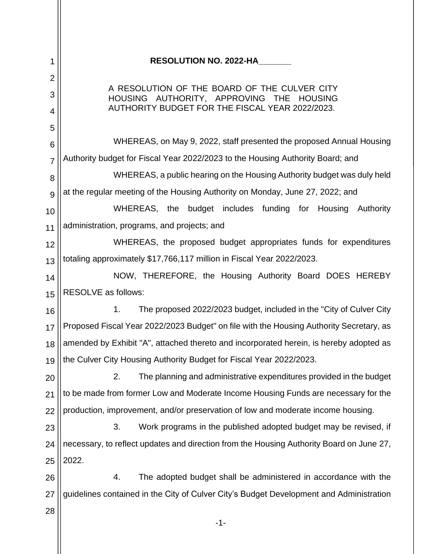| 1              | <b>RESOLUTION NO. 2022-HA</b>                                                            |  |  |
|----------------|------------------------------------------------------------------------------------------|--|--|
| $\overline{2}$ |                                                                                          |  |  |
| 3              | A RESOLUTION OF THE BOARD OF THE CULVER CITY<br>HOUSING AUTHORITY, APPROVING THE HOUSING |  |  |
| 4              | AUTHORITY BUDGET FOR THE FISCAL YEAR 2022/2023.                                          |  |  |
| 5<br>6         | WHEREAS, on May 9, 2022, staff presented the proposed Annual Housing                     |  |  |
| $\overline{7}$ | Authority budget for Fiscal Year 2022/2023 to the Housing Authority Board; and           |  |  |
| 8              | WHEREAS, a public hearing on the Housing Authority budget was duly held                  |  |  |
| 9              | at the regular meeting of the Housing Authority on Monday, June 27, 2022; and            |  |  |
| 10             | WHEREAS, the budget includes funding for Housing<br>Authority                            |  |  |
| 11             | administration, programs, and projects; and                                              |  |  |
| 12             | WHEREAS, the proposed budget appropriates funds for expenditures                         |  |  |
| 13             | totaling approximately \$17,766,117 million in Fiscal Year 2022/2023.                    |  |  |
| 14             | NOW, THEREFORE, the Housing Authority Board DOES HEREBY                                  |  |  |
| 15             | RESOLVE as follows:                                                                      |  |  |
| 16             | The proposed 2022/2023 budget, included in the "City of Culver City"<br>1.               |  |  |
| 17             | Proposed Fiscal Year 2022/2023 Budget" on file with the Housing Authority Secretary, as  |  |  |
| 18             | amended by Exhibit "A", attached thereto and incorporated herein, is hereby adopted as   |  |  |
| 19             | the Culver City Housing Authority Budget for Fiscal Year 2022/2023.                      |  |  |
| 20             | 2.<br>The planning and administrative expenditures provided in the budget                |  |  |
| 21             | to be made from former Low and Moderate Income Housing Funds are necessary for the       |  |  |
| 22             | production, improvement, and/or preservation of low and moderate income housing.         |  |  |
| 23             | 3.<br>Work programs in the published adopted budget may be revised, if                   |  |  |
| 24             | necessary, to reflect updates and direction from the Housing Authority Board on June 27, |  |  |
| 25             | 2022.                                                                                    |  |  |
| 26             | 4.<br>The adopted budget shall be administered in accordance with the                    |  |  |
| 27             | guidelines contained in the City of Culver City's Budget Development and Administration  |  |  |
| 28             | $-1-$                                                                                    |  |  |